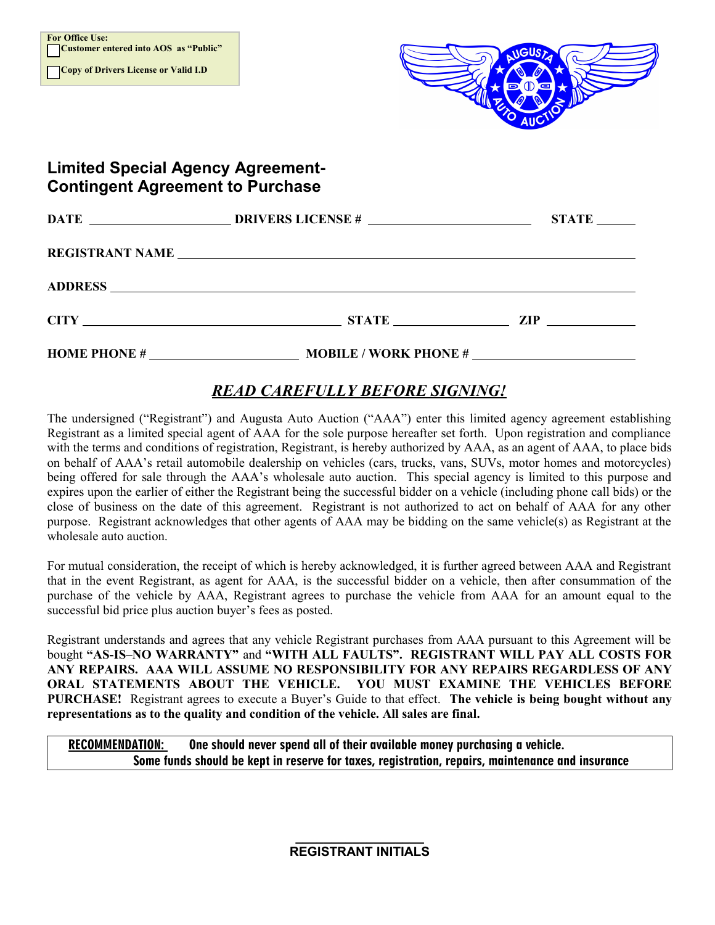**For Office Use: Customer entered into AOS as "Public"** 

 **Copy of Drivers License or Valid I.D** 



### **Limited Special Agency Agreement-Contingent Agreement to Purchase**

|                         | STATE |
|-------------------------|-------|
|                         |       |
|                         |       |
| <b>CITY</b> STATE STATE | ZIP-  |
|                         |       |

## *READ CAREFULLY BEFORE SIGNING!*

The undersigned ("Registrant") and Augusta Auto Auction ("AAA") enter this limited agency agreement establishing Registrant as a limited special agent of AAA for the sole purpose hereafter set forth. Upon registration and compliance with the terms and conditions of registration, Registrant, is hereby authorized by AAA, as an agent of AAA, to place bids on behalf of AAA's retail automobile dealership on vehicles (cars, trucks, vans, SUVs, motor homes and motorcycles) being offered for sale through the AAA's wholesale auto auction. This special agency is limited to this purpose and expires upon the earlier of either the Registrant being the successful bidder on a vehicle (including phone call bids) or the close of business on the date of this agreement. Registrant is not authorized to act on behalf of AAA for any other purpose. Registrant acknowledges that other agents of AAA may be bidding on the same vehicle(s) as Registrant at the wholesale auto auction.

For mutual consideration, the receipt of which is hereby acknowledged, it is further agreed between AAA and Registrant that in the event Registrant, as agent for AAA, is the successful bidder on a vehicle, then after consummation of the purchase of the vehicle by AAA, Registrant agrees to purchase the vehicle from AAA for an amount equal to the successful bid price plus auction buyer's fees as posted.

Registrant understands and agrees that any vehicle Registrant purchases from AAA pursuant to this Agreement will be bought **"AS-IS–NO WARRANTY"** and **"WITH ALL FAULTS". REGISTRANT WILL PAY ALL COSTS FOR ANY REPAIRS. AAA WILL ASSUME NO RESPONSIBILITY FOR ANY REPAIRS REGARDLESS OF ANY ORAL STATEMENTS ABOUT THE VEHICLE. YOU MUST EXAMINE THE VEHICLES BEFORE PURCHASE!** Registrant agrees to execute a Buyer's Guide to that effect. **The vehicle is being bought without any representations as to the quality and condition of the vehicle. All sales are final.** 

RECOMMENDATION: One should never spend all of their available money purchasing a vehicle. Some funds should be kept in reserve for taxes, registration, repairs, maintenance and insurance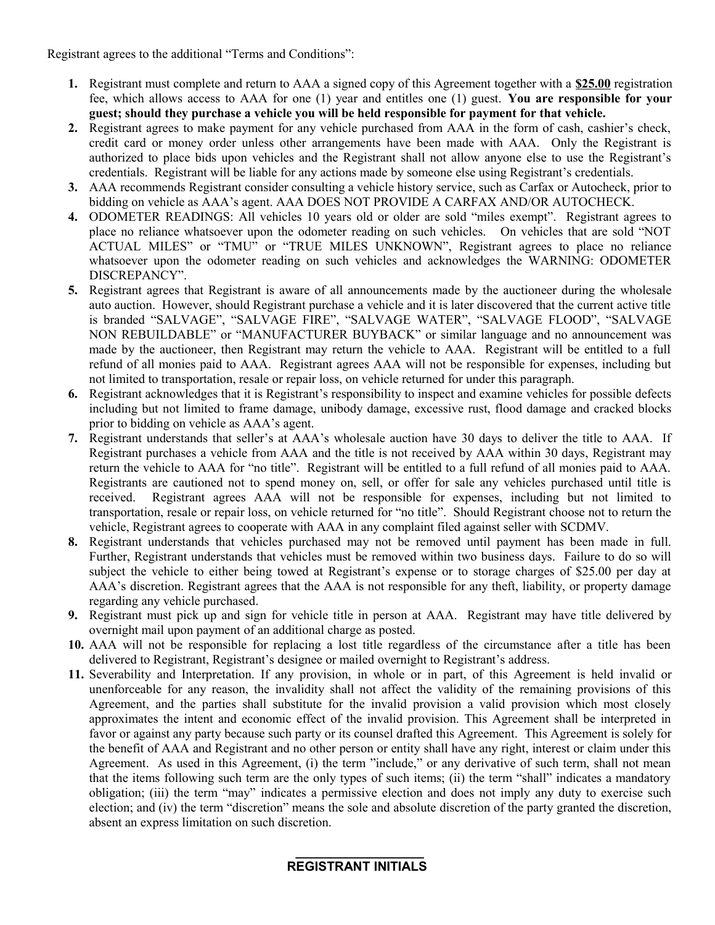Registrant agrees to the additional "Terms and Conditions":

- **1.** Registrant must complete and return to AAA a signed copy of this Agreement together with a **\$25.00** registration fee, which allows access to AAA for one (1) year and entitles one (1) guest. **You are responsible for your guest; should they purchase a vehicle you will be held responsible for payment for that vehicle.**
- **2.** Registrant agrees to make payment for any vehicle purchased from AAA in the form of cash, cashier's check, credit card or money order unless other arrangements have been made with AAA. Only the Registrant is authorized to place bids upon vehicles and the Registrant shall not allow anyone else to use the Registrant's credentials. Registrant will be liable for any actions made by someone else using Registrant's credentials.
- **3.** AAA recommends Registrant consider consulting a vehicle history service, such as Carfax or Autocheck, prior to bidding on vehicle as AAA's agent. AAA DOES NOT PROVIDE A CARFAX AND/OR AUTOCHECK.
- **4.** ODOMETER READINGS: All vehicles 10 years old or older are sold "miles exempt". Registrant agrees to place no reliance whatsoever upon the odometer reading on such vehicles. On vehicles that are sold "NOT ACTUAL MILES" or "TMU" or "TRUE MILES UNKNOWN", Registrant agrees to place no reliance whatsoever upon the odometer reading on such vehicles and acknowledges the WARNING: ODOMETER DISCREPANCY".
- **5.** Registrant agrees that Registrant is aware of all announcements made by the auctioneer during the wholesale auto auction. However, should Registrant purchase a vehicle and it is later discovered that the current active title is branded "SALVAGE", "SALVAGE FIRE", "SALVAGE WATER", "SALVAGE FLOOD", "SALVAGE NON REBUILDABLE" or "MANUFACTURER BUYBACK" or similar language and no announcement was made by the auctioneer, then Registrant may return the vehicle to AAA. Registrant will be entitled to a full refund of all monies paid to AAA. Registrant agrees AAA will not be responsible for expenses, including but not limited to transportation, resale or repair loss, on vehicle returned for under this paragraph.
- **6.** Registrant acknowledges that it is Registrant's responsibility to inspect and examine vehicles for possible defects including but not limited to frame damage, unibody damage, excessive rust, flood damage and cracked blocks prior to bidding on vehicle as AAA's agent.
- **7.** Registrant understands that seller's at AAA's wholesale auction have 30 days to deliver the title to AAA. If Registrant purchases a vehicle from AAA and the title is not received by AAA within 30 days, Registrant may return the vehicle to AAA for "no title". Registrant will be entitled to a full refund of all monies paid to AAA. Registrants are cautioned not to spend money on, sell, or offer for sale any vehicles purchased until title is received. Registrant agrees AAA will not be responsible for expenses, including but not limited to transportation, resale or repair loss, on vehicle returned for "no title". Should Registrant choose not to return the vehicle, Registrant agrees to cooperate with AAA in any complaint filed against seller with SCDMV.
- **8.** Registrant understands that vehicles purchased may not be removed until payment has been made in full. Further, Registrant understands that vehicles must be removed within two business days. Failure to do so will subject the vehicle to either being towed at Registrant's expense or to storage charges of \$25.00 per day at AAA's discretion. Registrant agrees that the AAA is not responsible for any theft, liability, or property damage regarding any vehicle purchased.
- **9.** Registrant must pick up and sign for vehicle title in person at AAA. Registrant may have title delivered by overnight mail upon payment of an additional charge as posted.
- **10.** AAA will not be responsible for replacing a lost title regardless of the circumstance after a title has been delivered to Registrant, Registrant's designee or mailed overnight to Registrant's address.
- **11.** Severability and Interpretation. If any provision, in whole or in part, of this Agreement is held invalid or unenforceable for any reason, the invalidity shall not affect the validity of the remaining provisions of this Agreement, and the parties shall substitute for the invalid provision a valid provision which most closely approximates the intent and economic effect of the invalid provision. This Agreement shall be interpreted in favor or against any party because such party or its counsel drafted this Agreement. This Agreement is solely for the benefit of AAA and Registrant and no other person or entity shall have any right, interest or claim under this Agreement. As used in this Agreement, (i) the term "include," or any derivative of such term, shall not mean that the items following such term are the only types of such items; (ii) the term "shall" indicates a mandatory obligation; (iii) the term "may" indicates a permissive election and does not imply any duty to exercise such election; and (iv) the term "discretion" means the sole and absolute discretion of the party granted the discretion, absent an express limitation on such discretion.

#### **\_\_\_\_\_\_\_\_\_\_\_\_\_\_\_\_\_\_ REGISTRANT INITIALS**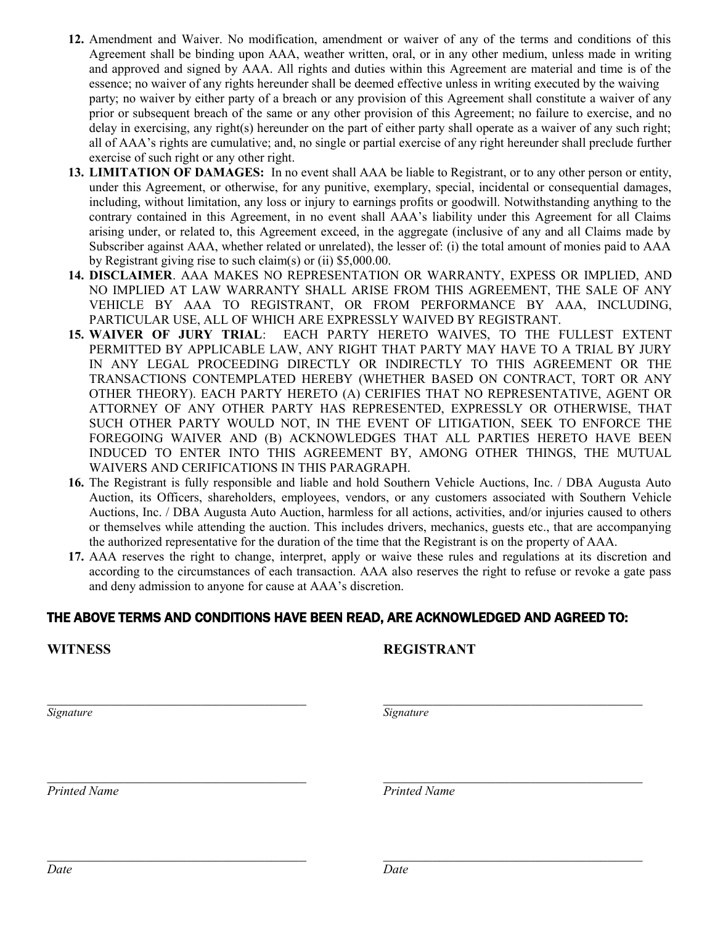- **12.** Amendment and Waiver. No modification, amendment or waiver of any of the terms and conditions of this Agreement shall be binding upon AAA, weather written, oral, or in any other medium, unless made in writing and approved and signed by AAA. All rights and duties within this Agreement are material and time is of the essence; no waiver of any rights hereunder shall be deemed effective unless in writing executed by the waiving party; no waiver by either party of a breach or any provision of this Agreement shall constitute a waiver of any prior or subsequent breach of the same or any other provision of this Agreement; no failure to exercise, and no delay in exercising, any right(s) hereunder on the part of either party shall operate as a waiver of any such right; all of AAA's rights are cumulative; and, no single or partial exercise of any right hereunder shall preclude further exercise of such right or any other right.
- **13. LIMITATION OF DAMAGES:** In no event shall AAA be liable to Registrant, or to any other person or entity, under this Agreement, or otherwise, for any punitive, exemplary, special, incidental or consequential damages, including, without limitation, any loss or injury to earnings profits or goodwill. Notwithstanding anything to the contrary contained in this Agreement, in no event shall AAA's liability under this Agreement for all Claims arising under, or related to, this Agreement exceed, in the aggregate (inclusive of any and all Claims made by Subscriber against AAA, whether related or unrelated), the lesser of: (i) the total amount of monies paid to AAA by Registrant giving rise to such claim(s) or (ii) \$5,000.00.
- **14. DISCLAIMER**. AAA MAKES NO REPRESENTATION OR WARRANTY, EXPESS OR IMPLIED, AND NO IMPLIED AT LAW WARRANTY SHALL ARISE FROM THIS AGREEMENT, THE SALE OF ANY VEHICLE BY AAA TO REGISTRANT, OR FROM PERFORMANCE BY AAA, INCLUDING, PARTICULAR USE, ALL OF WHICH ARE EXPRESSLY WAIVED BY REGISTRANT.
- **15. WAIVER OF JURY TRIAL**: EACH PARTY HERETO WAIVES, TO THE FULLEST EXTENT PERMITTED BY APPLICABLE LAW, ANY RIGHT THAT PARTY MAY HAVE TO A TRIAL BY JURY IN ANY LEGAL PROCEEDING DIRECTLY OR INDIRECTLY TO THIS AGREEMENT OR THE TRANSACTIONS CONTEMPLATED HEREBY (WHETHER BASED ON CONTRACT, TORT OR ANY OTHER THEORY). EACH PARTY HERETO (A) CERIFIES THAT NO REPRESENTATIVE, AGENT OR ATTORNEY OF ANY OTHER PARTY HAS REPRESENTED, EXPRESSLY OR OTHERWISE, THAT SUCH OTHER PARTY WOULD NOT, IN THE EVENT OF LITIGATION, SEEK TO ENFORCE THE FOREGOING WAIVER AND (B) ACKNOWLEDGES THAT ALL PARTIES HERETO HAVE BEEN INDUCED TO ENTER INTO THIS AGREEMENT BY, AMONG OTHER THINGS, THE MUTUAL WAIVERS AND CERIFICATIONS IN THIS PARAGRAPH.
- **16.** The Registrant is fully responsible and liable and hold Southern Vehicle Auctions, Inc. / DBA Augusta Auto Auction, its Officers, shareholders, employees, vendors, or any customers associated with Southern Vehicle Auctions, Inc. / DBA Augusta Auto Auction, harmless for all actions, activities, and/or injuries caused to others or themselves while attending the auction. This includes drivers, mechanics, guests etc., that are accompanying the authorized representative for the duration of the time that the Registrant is on the property of AAA.
- **17.** AAA reserves the right to change, interpret, apply or waive these rules and regulations at its discretion and according to the circumstances of each transaction. AAA also reserves the right to refuse or revoke a gate pass and deny admission to anyone for cause at AAA's discretion.

### THE ABOVE TERMS AND CONDITIONS HAVE BEEN READ, ARE ACKNOWLEDGED AND AGREED TO:

| <b>WITNESS</b>      | <b>REGISTRANT</b>   |  |
|---------------------|---------------------|--|
| Signature           | Signature           |  |
|                     |                     |  |
| <b>Printed Name</b> | <b>Printed Name</b> |  |
| Date                | Date                |  |
|                     |                     |  |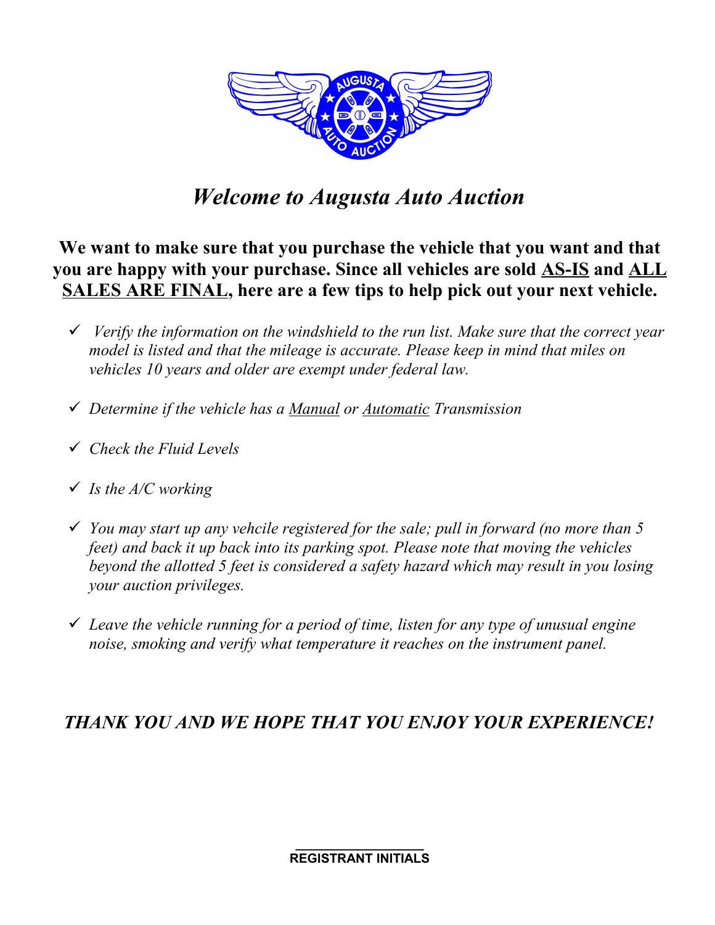

# *Welcome to Augusta Auto Auction*

**We want to make sure that you purchase the vehicle that you want and that you are happy with your purchase. Since all vehicles are sold AS-IS and ALL SALES ARE FINAL, here are a few tips to help pick out your next vehicle.**

- *Verify the information on the windshield to the run list. Make sure that the correct year model is listed and that the mileage is accurate. Please keep in mind that miles on vehicles 10 years and older are exempt under federal law.*
- *Determine if the vehicle has a Manual or Automatic Transmission*
- *Check the Fluid Levels*
- *Is the A/C working*
- *You may start up any vehcile registered for the sale; pull in forward (no more than 5 feet) and back it up back into its parking spot. Please note that moving the vehicles beyond the allotted 5 feet is considered a safety hazard which may result in you losing your auction privileges.*
- *Leave the vehicle running for a period of time, listen for any type of unusual engine noise, smoking and verify what temperature it reaches on the instrument panel.*

# *THANK YOU AND WE HOPE THAT YOU ENJOY YOUR EXPERIENCE!*